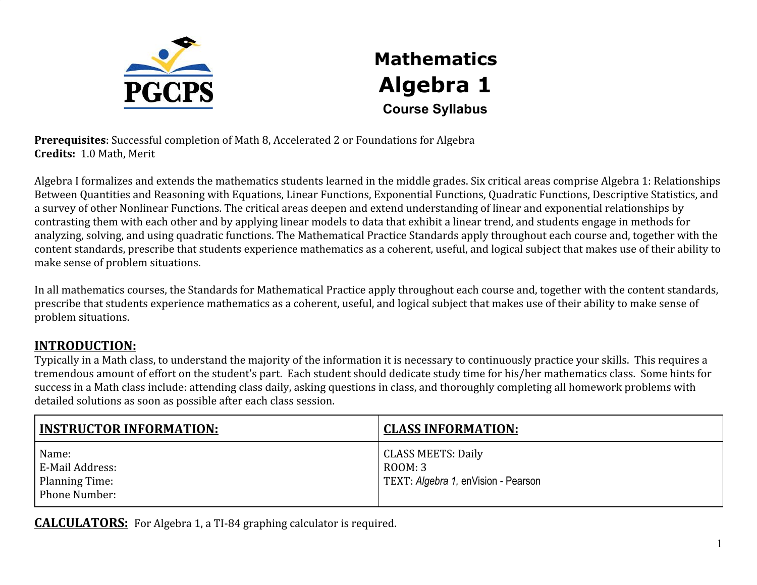

## **Mathematics Algebra 1 Course Syllabus**

**Prerequisites**: Successful completion of Math 8, Accelerated 2 or Foundations for Algebra **Credits:** 1.0 Math, Merit

Algebra I formalizes and extends the mathematics students learned in the middle grades. Six critical areas comprise Algebra 1: Relationships Between Quantities and Reasoning with Equations, Linear Functions, Exponential Functions, Quadratic Functions, Descriptive Statistics, and a survey of other Nonlinear Functions. The critical areas deepen and extend understanding of linear and exponential relationships by contrasting them with each other and by applying linear models to data that exhibit a linear trend, and students engage in methods for analyzing, solving, and using quadratic functions. The Mathematical Practice Standards apply throughout each course and, together with the content standards, prescribe that students experience mathematics as a coherent, useful, and logical subject that makes use of their ability to make sense of problem situations.

In all mathematics courses, the Standards for Mathematical Practice apply throughout each course and, together with the content standards, prescribe that students experience mathematics as a coherent, useful, and logical subject that makes use of their ability to make sense of problem situations.

## **INTRODUCTION:**

Typically in a Math class, to understand the majority of the information it is necessary to continuously practice your skills. This requires a tremendous amount of effort on the student's part. Each student should dedicate study time for his/her mathematics class. Some hints for success in a Math class include: attending class daily, asking questions in class, and thoroughly completing all homework problems with detailed solutions as soon as possible after each class session.

| <b>INSTRUCTOR INFORMATION:</b>                              | <b>CLASS INFORMATION:</b>                                                   |
|-------------------------------------------------------------|-----------------------------------------------------------------------------|
| Name:<br>E-Mail Address:<br>Planning Time:<br>Phone Number: | <b>CLASS MEETS: Daily</b><br>ROOM: 3<br>TEXT: Algebra 1, enVision - Pearson |

**CALCULATORS:** For Algebra 1, a TI-84 graphing calculator is required.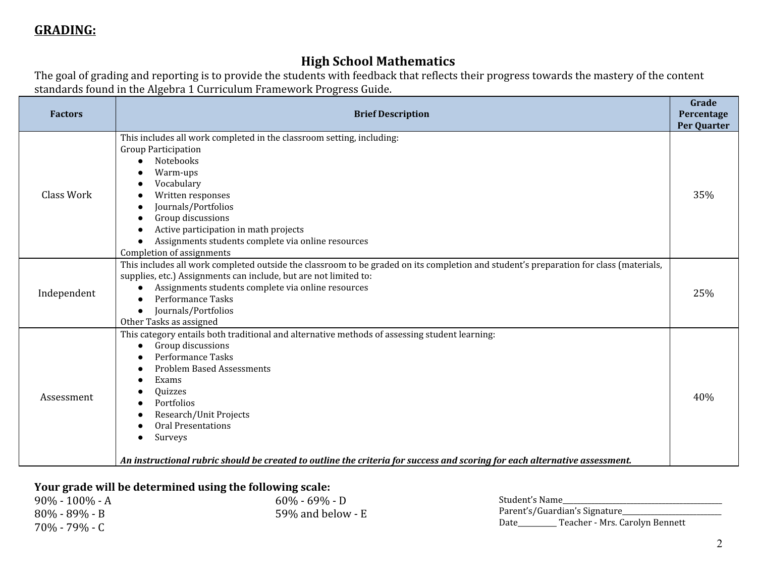### **High School Mathematics**

The goal of grading and reporting is to provide the students with feedback that reflects their progress towards the mastery of the content standards found in the Algebra 1 Curriculum Framework Progress Guide.

| This includes all work completed in the classroom setting, including:<br><b>Group Participation</b>                                                                                                                                                                                                                                                                     |                                                                                                                                         |
|-------------------------------------------------------------------------------------------------------------------------------------------------------------------------------------------------------------------------------------------------------------------------------------------------------------------------------------------------------------------------|-----------------------------------------------------------------------------------------------------------------------------------------|
| Warm-ups<br>Vocabulary<br>Written responses<br>Journals/Portfolios<br>$\bullet$<br>Group discussions<br>Active participation in math projects<br>Assignments students complete via online resources<br>$\bullet$<br>Completion of assignments                                                                                                                           | 35%                                                                                                                                     |
| This includes all work completed outside the classroom to be graded on its completion and student's preparation for class (materials,<br>supplies, etc.) Assignments can include, but are not limited to:<br>Assignments students complete via online resources<br>$\bullet$<br><b>Performance Tasks</b><br>Journals/Portfolios<br>$\bullet$<br>Other Tasks as assigned | 25%                                                                                                                                     |
| This category entails both traditional and alternative methods of assessing student learning:<br>Group discussions<br>$\bullet$<br>Performance Tasks<br><b>Problem Based Assessments</b><br>Exams<br>Quizzes<br>Portfolios<br>Research/Unit Projects<br><b>Oral Presentations</b><br>Surveys                                                                            | 40%                                                                                                                                     |
|                                                                                                                                                                                                                                                                                                                                                                         | Notebooks<br>An instructional rubric should be created to outline the criteria for success and scoring for each alternative assessment. |

#### **Your grade will be determined using the following scale:**

| 90% - 100% - A | $60\% - 69\% - D$   | Student's Name                         |
|----------------|---------------------|----------------------------------------|
| 80% - 89% - B  | 59% and below - $E$ | Parent's/Guardian's Signature          |
| 70% - 79% - C  |                     | Teacher - Mrs. Carolyn Bennett<br>Date |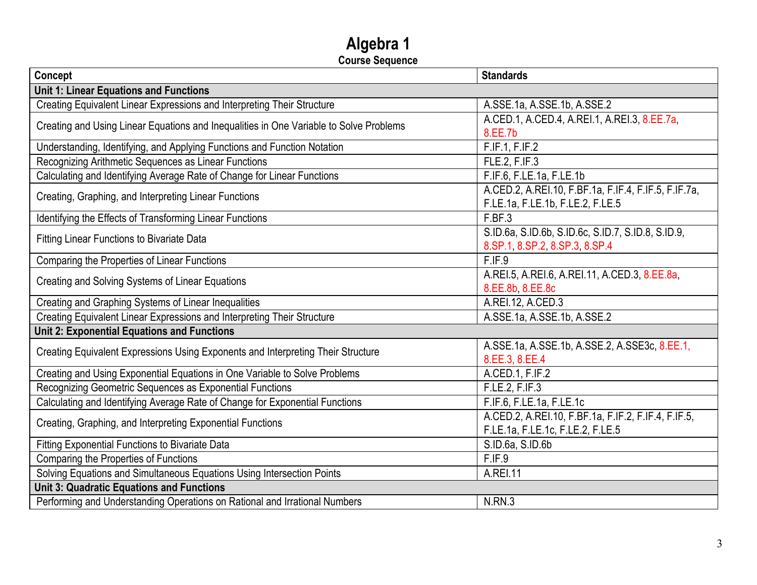# **Algebra 1**

**Course Sequence**

| Concept                                                                                | <b>Standards</b>                                     |  |
|----------------------------------------------------------------------------------------|------------------------------------------------------|--|
| <b>Unit 1: Linear Equations and Functions</b>                                          |                                                      |  |
| Creating Equivalent Linear Expressions and Interpreting Their Structure                | A.SSE.1a, A.SSE.1b, A.SSE.2                          |  |
| Creating and Using Linear Equations and Inequalities in One Variable to Solve Problems | A.CED.1, A.CED.4, A.REI.1, A.REI.3, 8.EE.7a,         |  |
|                                                                                        | 8.EE.7b                                              |  |
| Understanding, Identifying, and Applying Functions and Function Notation               | F.IF.1, F.IF.2                                       |  |
| Recognizing Arithmetic Sequences as Linear Functions                                   | FLE.2, F.IF.3                                        |  |
| Calculating and Identifying Average Rate of Change for Linear Functions                | F.IF.6, F.LE.1a, F.LE.1b                             |  |
| Creating, Graphing, and Interpreting Linear Functions                                  | A.CED.2, A.REI.10, F.BF.1a, F.IF.4, F.IF.5, F.IF.7a, |  |
|                                                                                        | F.LE.1a, F.LE.1b, F.LE.2, F.LE.5                     |  |
| Identifying the Effects of Transforming Linear Functions                               | F.BF.3                                               |  |
| <b>Fitting Linear Functions to Bivariate Data</b>                                      | S.ID.6a, S.ID.6b, S.ID.6c, S.ID.7, S.ID.8, S.ID.9,   |  |
|                                                                                        | 8.SP.1, 8.SP.2, 8.SP.3, 8.SP.4                       |  |
| Comparing the Properties of Linear Functions                                           | F.IF.9                                               |  |
| Creating and Solving Systems of Linear Equations                                       | A.REI.5, A.REI.6, A.REI.11, A.CED.3, 8.EE.8a,        |  |
|                                                                                        | 8.EE.8b, 8.EE.8c                                     |  |
| Creating and Graphing Systems of Linear Inequalities                                   | A.REI.12, A.CED.3                                    |  |
| Creating Equivalent Linear Expressions and Interpreting Their Structure                | A.SSE.1a, A.SSE.1b, A.SSE.2                          |  |
| <b>Unit 2: Exponential Equations and Functions</b>                                     |                                                      |  |
| Creating Equivalent Expressions Using Exponents and Interpreting Their Structure       | A.SSE.1a, A.SSE.1b, A.SSE.2, A.SSE3c, 8.EE.1,        |  |
|                                                                                        | 8.EE.3, 8.EE.4                                       |  |
| Creating and Using Exponential Equations in One Variable to Solve Problems             | A.CED.1, F.IF.2                                      |  |
| Recognizing Geometric Sequences as Exponential Functions                               | F.LE.2, F.IF.3                                       |  |
| Calculating and Identifying Average Rate of Change for Exponential Functions           | F.IF.6, F.LE.1a, F.LE.1c                             |  |
| Creating, Graphing, and Interpreting Exponential Functions                             | A.CED.2, A.REI.10, F.BF.1a, F.IF.2, F.IF.4, F.IF.5,  |  |
|                                                                                        | F.LE.1a, F.LE.1c, F.LE.2, F.LE.5                     |  |
| <b>Fitting Exponential Functions to Bivariate Data</b>                                 | S.ID.6a, S.ID.6b                                     |  |
| Comparing the Properties of Functions                                                  | F.IF.9                                               |  |
| Solving Equations and Simultaneous Equations Using Intersection Points                 | <b>A.REI.11</b>                                      |  |
| <b>Unit 3: Quadratic Equations and Functions</b>                                       |                                                      |  |
| Performing and Understanding Operations on Rational and Irrational Numbers             | N.RN.3                                               |  |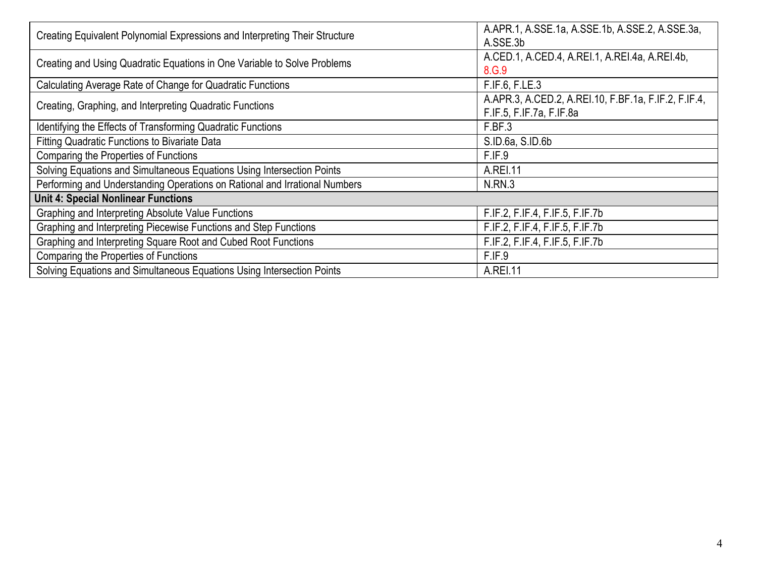| Creating Equivalent Polynomial Expressions and Interpreting Their Structure | A.APR.1, A.SSE.1a, A.SSE.1b, A.SSE.2, A.SSE.3a,<br>A.SSE.3b                      |  |  |
|-----------------------------------------------------------------------------|----------------------------------------------------------------------------------|--|--|
| Creating and Using Quadratic Equations in One Variable to Solve Problems    | A.CED.1, A.CED.4, A.REI.1, A.REI.4a, A.REI.4b,<br>8.G.9                          |  |  |
| Calculating Average Rate of Change for Quadratic Functions                  | F.IF.6, F.LE.3                                                                   |  |  |
| Creating, Graphing, and Interpreting Quadratic Functions                    | A.APR.3, A.CED.2, A.REI.10, F.BF.1a, F.IF.2, F.IF.4,<br>F.IF.5, F.IF.7a, F.IF.8a |  |  |
| Identifying the Effects of Transforming Quadratic Functions                 | F.BF.3                                                                           |  |  |
| <b>Fitting Quadratic Functions to Bivariate Data</b>                        | S.ID.6a, S.ID.6b                                                                 |  |  |
| Comparing the Properties of Functions                                       | F.IF.9                                                                           |  |  |
| Solving Equations and Simultaneous Equations Using Intersection Points      | A.REI.11                                                                         |  |  |
| Performing and Understanding Operations on Rational and Irrational Numbers  | N.RN.3                                                                           |  |  |
| <b>Unit 4: Special Nonlinear Functions</b>                                  |                                                                                  |  |  |
| Graphing and Interpreting Absolute Value Functions                          | F.IF.2, F.IF.4, F.IF.5, F.IF.7b                                                  |  |  |
| Graphing and Interpreting Piecewise Functions and Step Functions            | F.IF.2, F.IF.4, F.IF.5, F.IF.7b                                                  |  |  |
| Graphing and Interpreting Square Root and Cubed Root Functions              | F.IF.2, F.IF.4, F.IF.5, F.IF.7b                                                  |  |  |
| Comparing the Properties of Functions                                       | F.IF.9                                                                           |  |  |
| Solving Equations and Simultaneous Equations Using Intersection Points      | A.REI.11                                                                         |  |  |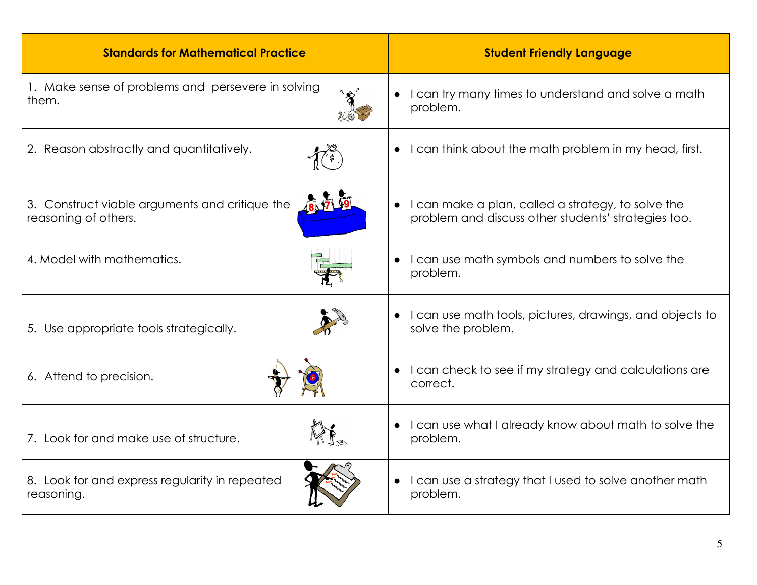| <b>Standards for Mathematical Practice</b>                             | <b>Student Friendly Language</b>                                                                                       |
|------------------------------------------------------------------------|------------------------------------------------------------------------------------------------------------------------|
| 1. Make sense of problems and persevere in solving<br>them.            | I can try many times to understand and solve a math<br>problem.                                                        |
| 2. Reason abstractly and quantitatively.                               | I can think about the math problem in my head, first.                                                                  |
| 3. Construct viable arguments and critique the<br>reasoning of others. | I can make a plan, called a strategy, to solve the<br>$\bullet$<br>problem and discuss other students' strategies too. |
| 4. Model with mathematics.                                             | I can use math symbols and numbers to solve the<br>problem.                                                            |
| 5. Use appropriate tools strategically.                                | I can use math tools, pictures, drawings, and objects to<br>solve the problem.                                         |
| 6. Attend to precision.                                                | I can check to see if my strategy and calculations are<br>$\bullet$<br>correct.                                        |
| 7. Look for and make use of structure.                                 | I can use what I already know about math to solve the<br>problem.                                                      |
| 8. Look for and express regularity in repeated<br>reasoning.           | I can use a strategy that I used to solve another math<br>$\bullet$<br>problem.                                        |